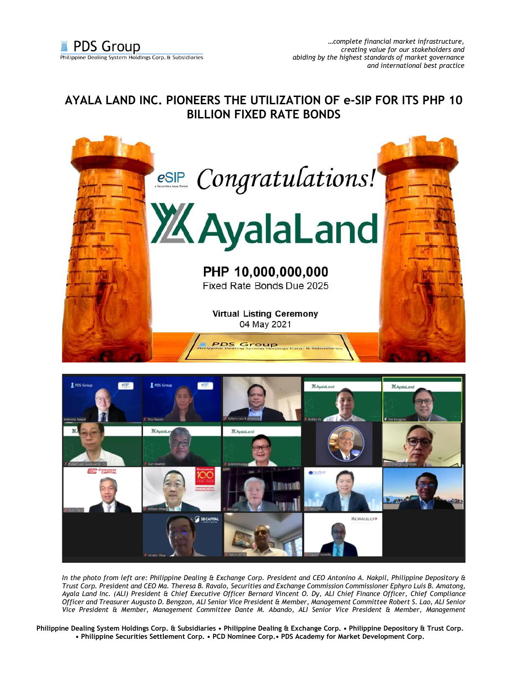## **AYALA LAND INC. PIONEERS THE UTILIZATION OF e-SIP FOR ITS PHP 10 BILLION FIXED RATE BONDS**





*In the photo from left are: Philippine Dealing & Exchange Corp. President and CEO Antonino A. Nakpil, Philippine Depository & Trust Corp. President and CEO Ma. Theresa B. Ravalo, Securities and Exchange Commission Commissioner Ephyro Luis B. Amatong, Ayala Land Inc. (ALI) President & Chief Executive Officer Bernard Vincent O. Dy, ALI Chief Finance Officer, Chief Compliance Officer and Treasurer Augusto D. Bengzon, ALI Senior Vice President & Member, Management Committee Robert S. Lao, ALI Senior Vice President & Member, Management Committee Dante M. Abando, ALI Senior Vice President & Member, Management* 

**Philippine Dealing System Holdings Corp. & Subsidiaries • Philippine Dealing & Exchange Corp. • Philippine Depository & Trust Corp. • Philippine Securities Settlement Corp. • PCD Nominee Corp.• PDS Academy for Market Development Corp.**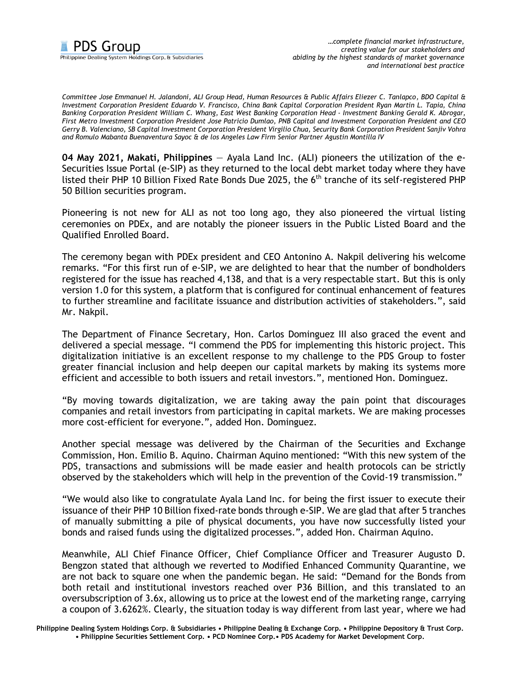

*Committee Jose Emmanuel H. Jalandoni, ALI Group Head, Human Resources & Public Affairs Eliezer C. Tanlapco, BDO Capital & Investment Corporation President Eduardo V. Francisco, China Bank Capital Corporation President Ryan Martin L. Tapia, China Banking Corporation President William C. Whang, East West Banking Corporation Head - Investment Banking Gerald K. Abrogar, First Metro Investment Corporation President Jose Patricio Dumlao, PNB Capital and Investment Corporation President and CEO Gerry B. Valenciano, SB Capital Investment Corporation President Virgilio Chua, Security Bank Corporation President Sanjiv Vohra and Romulo Mabanta Buenaventura Sayoc & de los Angeles Law Firm Senior Partner Agustin Montilla IV*

**04 May 2021, Makati, Philippines** — Ayala Land Inc. (ALI) pioneers the utilization of the e-Securities Issue Portal (e-SIP) as they returned to the local debt market today where they have listed their PHP 10 Billion Fixed Rate Bonds Due 2025, the 6<sup>th</sup> tranche of its self-registered PHP 50 Billion securities program.

Pioneering is not new for ALI as not too long ago, they also pioneered the virtual listing ceremonies on PDEx, and are notably the pioneer issuers in the Public Listed Board and the Qualified Enrolled Board.

The ceremony began with PDEx president and CEO Antonino A. Nakpil delivering his welcome remarks. "For this first run of e-SIP, we are delighted to hear that the number of bondholders registered for the issue has reached 4,138, and that is a very respectable start. But this is only version 1.0 for this system, a platform that is configured for continual enhancement of features to further streamline and facilitate issuance and distribution activities of stakeholders.", said Mr. Nakpil.

The Department of Finance Secretary, Hon. Carlos Dominguez III also graced the event and delivered a special message. "I commend the PDS for implementing this historic project. This digitalization initiative is an excellent response to my challenge to the PDS Group to foster greater financial inclusion and help deepen our capital markets by making its systems more efficient and accessible to both issuers and retail investors.", mentioned Hon. Dominguez.

"By moving towards digitalization, we are taking away the pain point that discourages companies and retail investors from participating in capital markets. We are making processes more cost-efficient for everyone.", added Hon. Dominguez.

Another special message was delivered by the Chairman of the Securities and Exchange Commission, Hon. Emilio B. Aquino. Chairman Aquino mentioned: "With this new system of the PDS, transactions and submissions will be made easier and health protocols can be strictly observed by the stakeholders which will help in the prevention of the Covid-19 transmission."

"We would also like to congratulate Ayala Land Inc. for being the first issuer to execute their issuance of their PHP 10 Billion fixed-rate bonds through e-SIP. We are glad that after 5 tranches of manually submitting a pile of physical documents, you have now successfully listed your bonds and raised funds using the digitalized processes.", added Hon. Chairman Aquino.

Meanwhile, ALI Chief Finance Officer, Chief Compliance Officer and Treasurer Augusto D. Bengzon stated that although we reverted to Modified Enhanced Community Quarantine, we are not back to square one when the pandemic began. He said: "Demand for the Bonds from both retail and institutional investors reached over P36 Billion, and this translated to an oversubscription of 3.6x, allowing us to price at the lowest end of the marketing range, carrying a coupon of 3.6262%. Clearly, the situation today is way different from last year, where we had